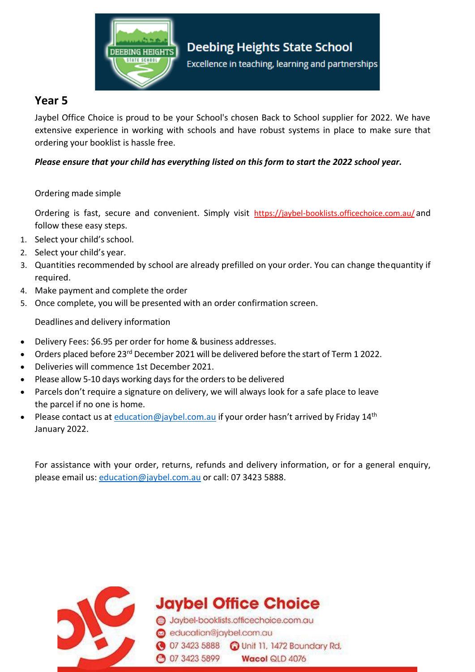

## **Year 5**

Jaybel Office Choice is proud to be your School's chosen Back to School supplier for 2022. We have extensive experience in working with schools and have robust systems in place to make sure that ordering your booklist is hassle free.

### *Please ensure that your child has everything listed on this form to start the 2022 school year.*

#### Ordering made simple

Ordering is fast, secure and convenient. Simply visit https://jaybel-booklists.officechoice.com.au/ and follow these easy steps.

- 1. Select your child's school.
- 2. Select your child's year.
- 3. Quantities recommended by school are already prefilled on your order. You can change thequantity if required.
- 4. Make payment and complete the order
- 5. Once complete, you will be presented with an order confirmation screen.

Deadlines and delivery information

- Delivery Fees: \$6.95 per order for home & business addresses.
- Orders placed before 23<sup>rd</sup> December 2021 will be delivered before the start of Term 1 2022.
- Deliveries will commence 1st December 2021.
- Please allow 5-10 days working days for the orders to be delivered
- Parcels don't require a signature on delivery, we will always look for a safe place to leave the parcel if no one is home.
- Please contact us at [education@jaybel.com.au](mailto:education@jaybel.com.au) if your order hasn't arrived by Friday 14<sup>th</sup> January 2022.

For assistance with your order, returns, refunds and delivery information, or for a general enquiry, please email us: [education@jaybel.com.au](mailto:education@jaybel.com.au) or call: 07 3423 5888.



**Jaybel Office Choice** 

Jaybel-booklists.officechoice.com.au education@jaybel.com.au 3423 5888 a Unit 11, 1472 Boundary Rd, **3423 5899** Wacol QLD 4076